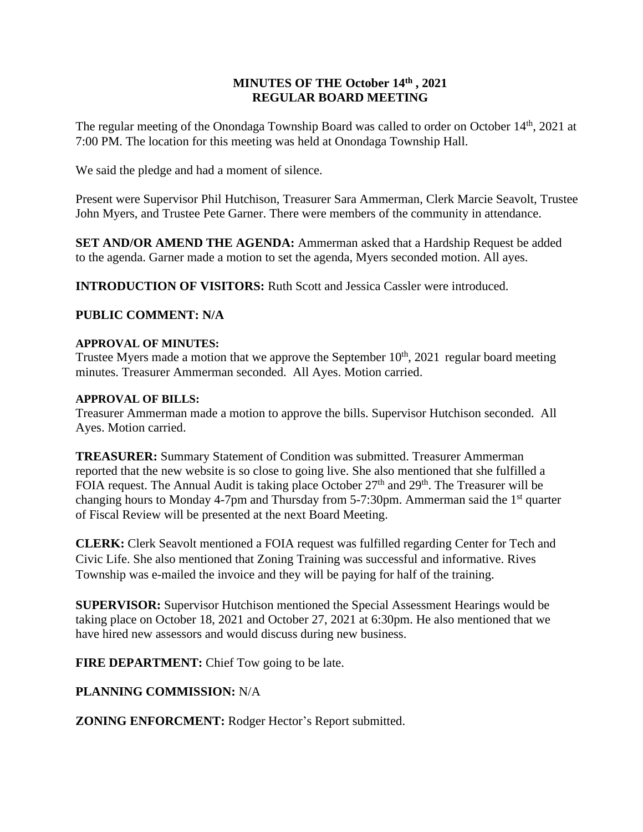## **MINUTES OF THE October 14th , 2021 REGULAR BOARD MEETING**

The regular meeting of the Onondaga Township Board was called to order on October 14<sup>th</sup>, 2021 at 7:00 PM. The location for this meeting was held at Onondaga Township Hall.

We said the pledge and had a moment of silence.

Present were Supervisor Phil Hutchison, Treasurer Sara Ammerman, Clerk Marcie Seavolt, Trustee John Myers, and Trustee Pete Garner. There were members of the community in attendance.

**SET AND/OR AMEND THE AGENDA:** Ammerman asked that a Hardship Request be added to the agenda. Garner made a motion to set the agenda, Myers seconded motion. All ayes.

**INTRODUCTION OF VISITORS:** Ruth Scott and Jessica Cassler were introduced.

### **PUBLIC COMMENT: N/A**

### **APPROVAL OF MINUTES:**

Trustee Myers made a motion that we approve the September  $10<sup>th</sup>$ , 2021 regular board meeting minutes. Treasurer Ammerman seconded. All Ayes. Motion carried.

### **APPROVAL OF BILLS:**

Treasurer Ammerman made a motion to approve the bills. Supervisor Hutchison seconded. All Ayes. Motion carried.

**TREASURER:** Summary Statement of Condition was submitted. Treasurer Ammerman reported that the new website is so close to going live. She also mentioned that she fulfilled a FOIA request. The Annual Audit is taking place October  $27<sup>th</sup>$  and  $29<sup>th</sup>$ . The Treasurer will be changing hours to Monday 4-7pm and Thursday from 5-7:30pm. Ammerman said the 1<sup>st</sup> quarter of Fiscal Review will be presented at the next Board Meeting.

**CLERK:** Clerk Seavolt mentioned a FOIA request was fulfilled regarding Center for Tech and Civic Life. She also mentioned that Zoning Training was successful and informative. Rives Township was e-mailed the invoice and they will be paying for half of the training.

**SUPERVISOR:** Supervisor Hutchison mentioned the Special Assessment Hearings would be taking place on October 18, 2021 and October 27, 2021 at 6:30pm. He also mentioned that we have hired new assessors and would discuss during new business.

**FIRE DEPARTMENT:** Chief Tow going to be late.

# **PLANNING COMMISSION:** N/A

**ZONING ENFORCMENT:** Rodger Hector's Report submitted.